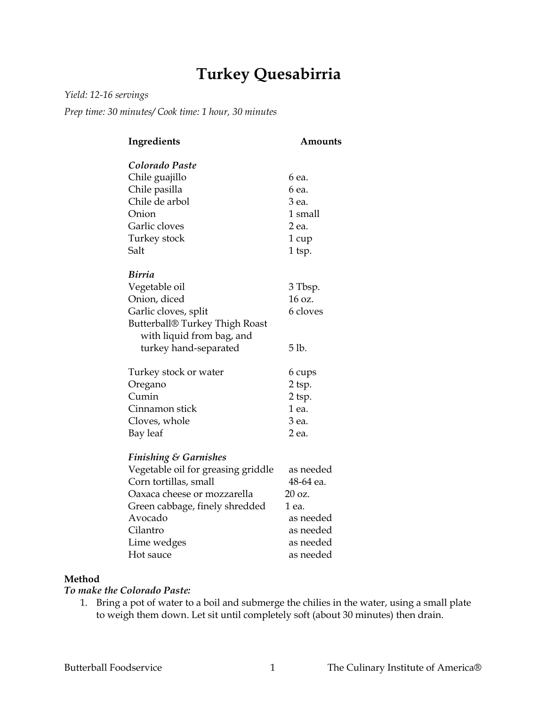# **Turkey Quesabirria**

*Yield: 12-16 servings*

*Prep time: 30 minutes/ Cook time: 1 hour, 30 minutes*

| Ingredients                        | Amounts       |
|------------------------------------|---------------|
| Colorado Paste                     |               |
| Chile guajillo                     | 6 ea.         |
| Chile pasilla                      | 6 ea.         |
| Chile de arbol                     | 3 ea.         |
| Onion                              | 1 small       |
| Garlic cloves                      | 2 ea.         |
| Turkey stock                       | 1 cup         |
| Salt                               | 1 tsp.        |
|                                    |               |
| Birria                             |               |
| Vegetable oil                      | 3 Tbsp.       |
| Onion, diced                       | 16 oz.        |
| Garlic cloves, split               | 6 cloves      |
| Butterball® Turkey Thigh Roast     |               |
| with liquid from bag, and          |               |
| turkey hand-separated              | 5 lb.         |
| Turkey stock or water              | 6 cups        |
| Oregano                            | 2 tsp.        |
| Cumin                              | 2 tsp.        |
| Cinnamon stick                     | 1 ea.         |
| Cloves, whole                      | 3 ea.         |
| Bay leaf                           | 2 ea.         |
|                                    |               |
| <b>Finishing &amp; Garnishes</b>   |               |
| Vegetable oil for greasing griddle | as needed     |
| Corn tortillas, small              | 48-64 ea.     |
| Oaxaca cheese or mozzarella        | $20 \Omega$ . |
| Green cabbage, finely shredded     | 1 ea.         |
| Avocado                            | as needed     |
| Cilantro                           | as needed     |
| Lime wedges                        | as needed     |
| Hot sauce                          | as needed     |

#### **Method**

## *To make the Colorado Paste:*

1. Bring a pot of water to a boil and submerge the chilies in the water, using a small plate to weigh them down. Let sit until completely soft (about 30 minutes) then drain.